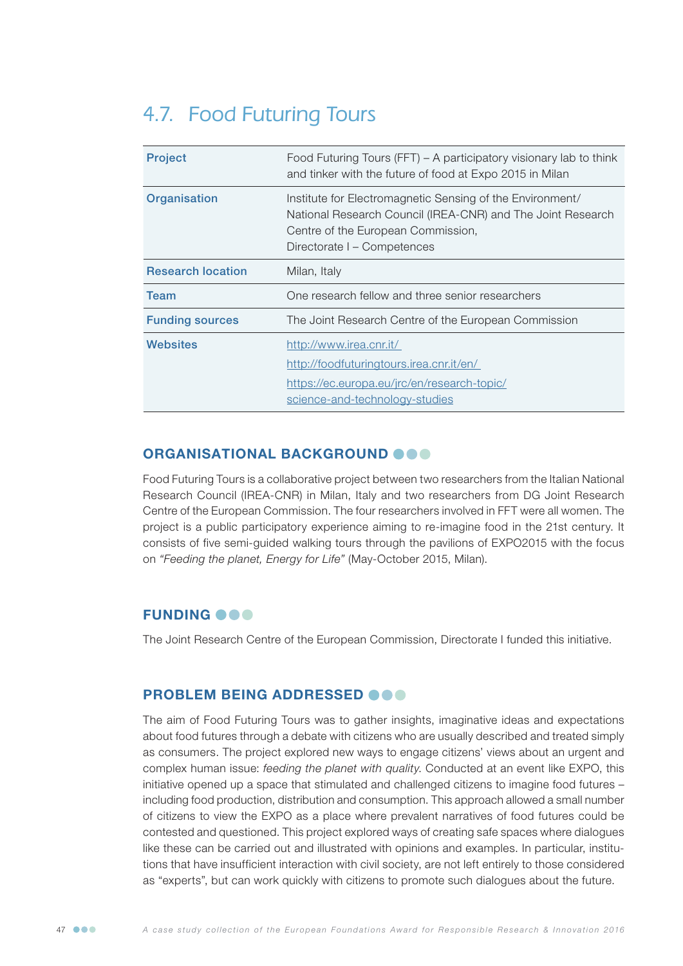# 4.7. Food Futuring Tours

| <b>Project</b>           | Food Futuring Tours (FFT) – A participatory visionary lab to think<br>and tinker with the future of food at Expo 2015 in Milan                                                                |
|--------------------------|-----------------------------------------------------------------------------------------------------------------------------------------------------------------------------------------------|
| Organisation             | Institute for Electromagnetic Sensing of the Environment/<br>National Research Council (IREA-CNR) and The Joint Research<br>Centre of the European Commission,<br>Directorate I – Competences |
| <b>Research location</b> | Milan, Italy                                                                                                                                                                                  |
| <b>Team</b>              | One research fellow and three senior researchers                                                                                                                                              |
| <b>Funding sources</b>   | The Joint Research Centre of the European Commission                                                                                                                                          |
| Websites                 | http://www.irea.cnr.it/<br>http://foodfuturingtours.irea.cnr.it/en/<br>https://ec.europa.eu/jrc/en/research-topic/<br>science-and-technology-studies                                          |

#### ORGANISATIONAL BACKGROUND @@@

Food Futuring Tours is a collaborative project between two researchers from the Italian National Research Council (IREA-CNR) in Milan, Italy and two researchers from DG Joint Research Centre of the European Commission. The four researchers involved in FFT were all women. The project is a public participatory experience aiming to re-imagine food in the 21st century. It consists of five semi-guided walking tours through the pavilions of EXPO2015 with the focus on *"Feeding the planet, Energy for Life"* (May-October 2015, Milan).

## **FUNDING OOO**

The Joint Research Centre of the European Commission, Directorate I funded this initiative.

#### PROBLEM BEING ADDRESSED OOO

The aim of Food Futuring Tours was to gather insights, imaginative ideas and expectations about food futures through a debate with citizens who are usually described and treated simply as consumers. The project explored new ways to engage citizens' views about an urgent and complex human issue: *feeding the planet with quality*. Conducted at an event like EXPO, this initiative opened up a space that stimulated and challenged citizens to imagine food futures – including food production, distribution and consumption. This approach allowed a small number of citizens to view the EXPO as a place where prevalent narratives of food futures could be contested and questioned. This project explored ways of creating safe spaces where dialogues like these can be carried out and illustrated with opinions and examples. In particular, institutions that have insufficient interaction with civil society, are not left entirely to those considered as "experts", but can work quickly with citizens to promote such dialogues about the future.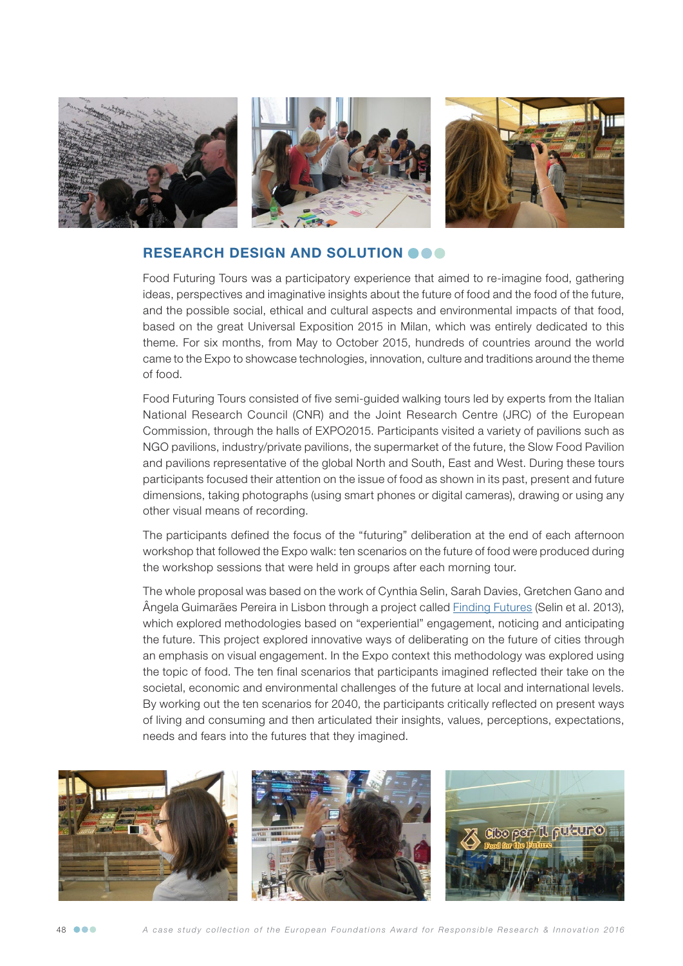

## RESEARCH DESIGN AND SOLUTION OOO

Food Futuring Tours was a participatory experience that aimed to re-imagine food, gathering ideas, perspectives and imaginative insights about the future of food and the food of the future, and the possible social, ethical and cultural aspects and environmental impacts of that food, based on the great Universal Exposition 2015 in Milan, which was entirely dedicated to this theme. For six months, from May to October 2015, hundreds of countries around the world came to the Expo to showcase technologies, innovation, culture and traditions around the theme of food.

Food Futuring Tours consisted of five semi-guided walking tours led by experts from the Italian National Research Council (CNR) and the Joint Research Centre (JRC) of the European Commission, through the halls of EXPO2015. Participants visited a variety of pavilions such as NGO pavilions, industry/private pavilions, the supermarket of the future, the Slow Food Pavilion and pavilions representative of the global North and South, East and West. During these tours participants focused their attention on the issue of food as shown in its past, present and future dimensions, taking photographs (using smart phones or digital cameras), drawing or using any other visual means of recording.

The participants defined the focus of the "futuring" deliberation at the end of each afternoon workshop that followed the Expo walk: ten scenarios on the future of food were produced during the workshop sessions that were held in groups after each morning tour.

The whole proposal was based on the work of Cynthia Selin, Sarah Davies, Gretchen Gano and Ângela Guimarães Pereira in Lisbon through a project called **Finding Futures (Selin et al. 2013**), which explored methodologies based on "experiential" engagement, noticing and anticipating the future. This project explored innovative ways of deliberating on the future of cities through an emphasis on visual engagement. In the Expo context this methodology was explored using the topic of food. The ten final scenarios that participants imagined reflected their take on the societal, economic and environmental challenges of the future at local and international levels. By working out the ten scenarios for 2040, the participants critically reflected on present ways of living and consuming and then articulated their insights, values, perceptions, expectations, needs and fears into the futures that they imagined.



48 *A case study collection of the European Foundations Award for Responsible Research & Innovation 2016*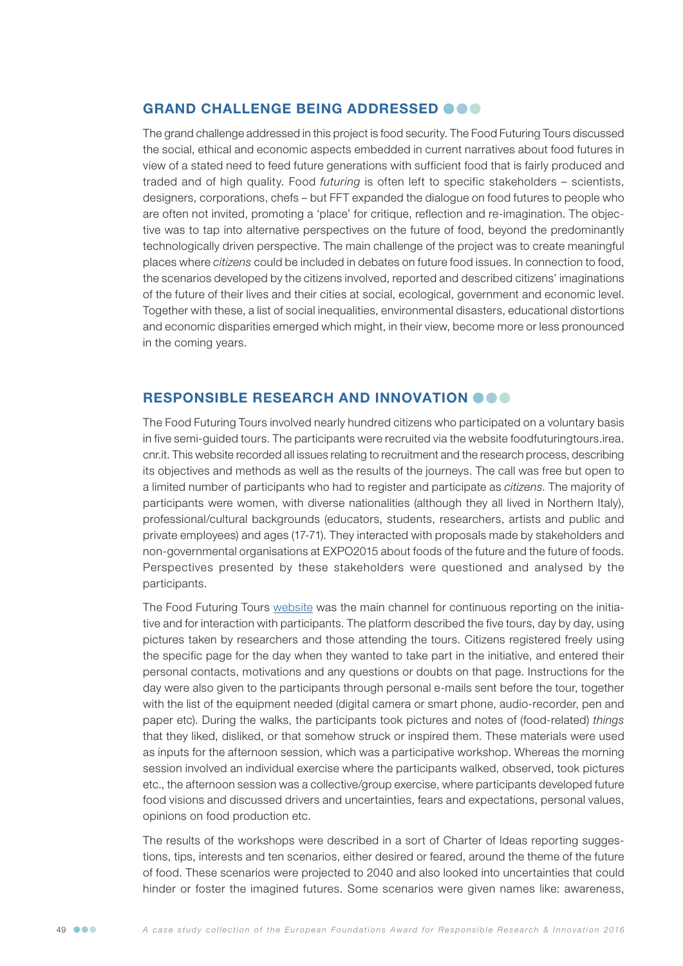## GRAND CHALLENGE BEING ADDRESSED @@@

The grand challenge addressed in this project is food security. The Food Futuring Tours discussed the social, ethical and economic aspects embedded in current narratives about food futures in view of a stated need to feed future generations with sufficient food that is fairly produced and traded and of high quality. Food *futuring* is often left to specific stakeholders – scientists, designers, corporations, chefs – but FFT expanded the dialogue on food futures to people who are often not invited, promoting a 'place' for critique, reflection and re-imagination. The objective was to tap into alternative perspectives on the future of food, beyond the predominantly technologically driven perspective. The main challenge of the project was to create meaningful places where *citizens* could be included in debates on future food issues. In connection to food, the scenarios developed by the citizens involved, reported and described citizens' imaginations of the future of their lives and their cities at social, ecological, government and economic level. Together with these, a list of social inequalities, environmental disasters, educational distortions and economic disparities emerged which might, in their view, become more or less pronounced in the coming years.

# RESPONSIBLE RESEARCH AND INNOVATION **OOO**

The Food Futuring Tours involved nearly hundred citizens who participated on a voluntary basis in five semi-guided tours. The participants were recruited via the website foodfuturingtours.irea. cnr.it. This website recorded all issues relating to recruitment and the research process, describing its objectives and methods as well as the results of the journeys. The call was free but open to a limited number of participants who had to register and participate as *citizens*. The majority of participants were women, with diverse nationalities (although they all lived in Northern Italy), professional/cultural backgrounds (educators, students, researchers, artists and public and private employees) and ages (17-71). They interacted with proposals made by stakeholders and non-governmental organisations at EXPO2015 about foods of the future and the future of foods. Perspectives presented by these stakeholders were questioned and analysed by the participants.

The Food Futuring Tours [website](http://foodfuturingtours.irea.cnr.it/en/) was the main channel for continuous reporting on the initiative and for interaction with participants. The platform described the five tours, day by day, using pictures taken by researchers and those attending the tours. Citizens registered freely using the specific page for the day when they wanted to take part in the initiative, and entered their personal contacts, motivations and any questions or doubts on that page. Instructions for the day were also given to the participants through personal e-mails sent before the tour, together with the list of the equipment needed (digital camera or smart phone, audio-recorder, pen and paper etc). During the walks, the participants took pictures and notes of (food-related) *things* that they liked, disliked, or that somehow struck or inspired them. These materials were used as inputs for the afternoon session, which was a participative workshop. Whereas the morning session involved an individual exercise where the participants walked, observed, took pictures etc., the afternoon session was a collective/group exercise, where participants developed future food visions and discussed drivers and uncertainties, fears and expectations, personal values, opinions on food production etc.

The results of the workshops were described in a sort of Charter of Ideas reporting suggestions, tips, interests and ten scenarios, either desired or feared, around the theme of the future of food. These scenarios were projected to 2040 and also looked into uncertainties that could hinder or foster the imagined futures. Some scenarios were given names like: awareness,